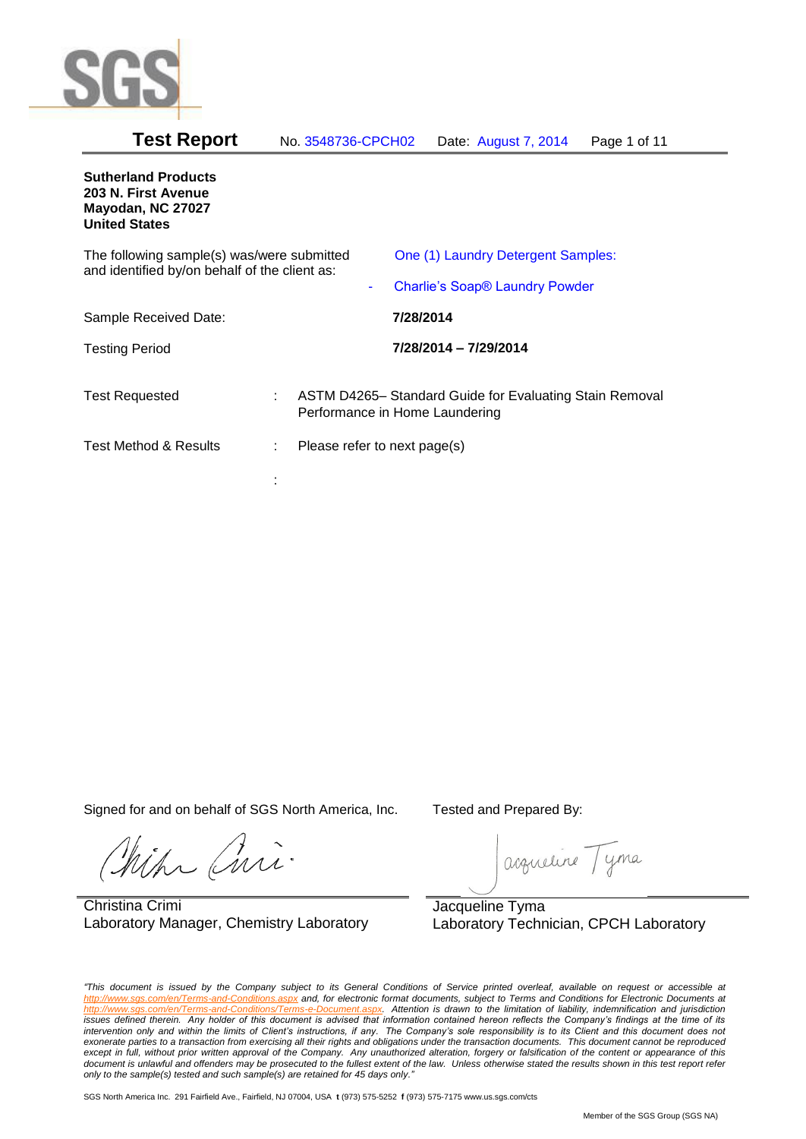

| <b>Test Report</b> | No. 3548736-CPCH02 | Date: August 7, 2014 | Page 1 of 11 |
|--------------------|--------------------|----------------------|--------------|
|--------------------|--------------------|----------------------|--------------|

# **Sutherland Products 203 N. First Avenue Mayodan, NC 27027 United States** The following sample(s) was/were submitted and identified by/on behalf of the client as: One (1) Laundry Detergent Samples: - Charlie's Soap® Laundry Powder Sample Received Date: **7/28/2014** Testing Period **7/28/2014 – 7/29/2014** Test Requested : ASTM D4265– Standard Guide for Evaluating Stain Removal Performance in Home Laundering Test Method & Results : Please refer to next page(s) :

Signed for and on behalf of SGS North America, Inc. Tested and Prepared By:

ich Curi

Christina Crimi Laboratory Manager, Chemistry Laboratory

acqueline Tyma

Jacqueline Tyma Laboratory Technician, CPCH Laboratory

*"This document is issued by the Company subject to its General Conditions of Service printed overleaf, available on request or accessible at http://www.sgs.com/en/Terms-and-Conditions.aspx and, for electronic format documents, subject to Terms and Conditions for Electronic Documents at http://www.sgs.com/en/Terms-and-Conditions/Terms-e-Document.aspx. Attention is drawn to the limitation of liability, indemnification and jurisdiction issues defined therein. Any holder of this document is advised that information contained hereon reflects the Company's findings at the time of its intervention only and within the limits of Client's instructions, if any. The Company's sole responsibility is to its Client and this document does not*  exonerate parties to a transaction from exercising all their rights and obligations under the transaction documents. This document cannot be reproduced except in full, without prior written approval of the Company. Any unauthorized alteration, forgery or falsification of the content or appearance of this document is unlawful and offenders may be prosecuted to the fullest extent of the law. Unless otherwise stated the results shown in this test report refer *only to the sample(s) tested and such sample(s) are retained for 45 days only."*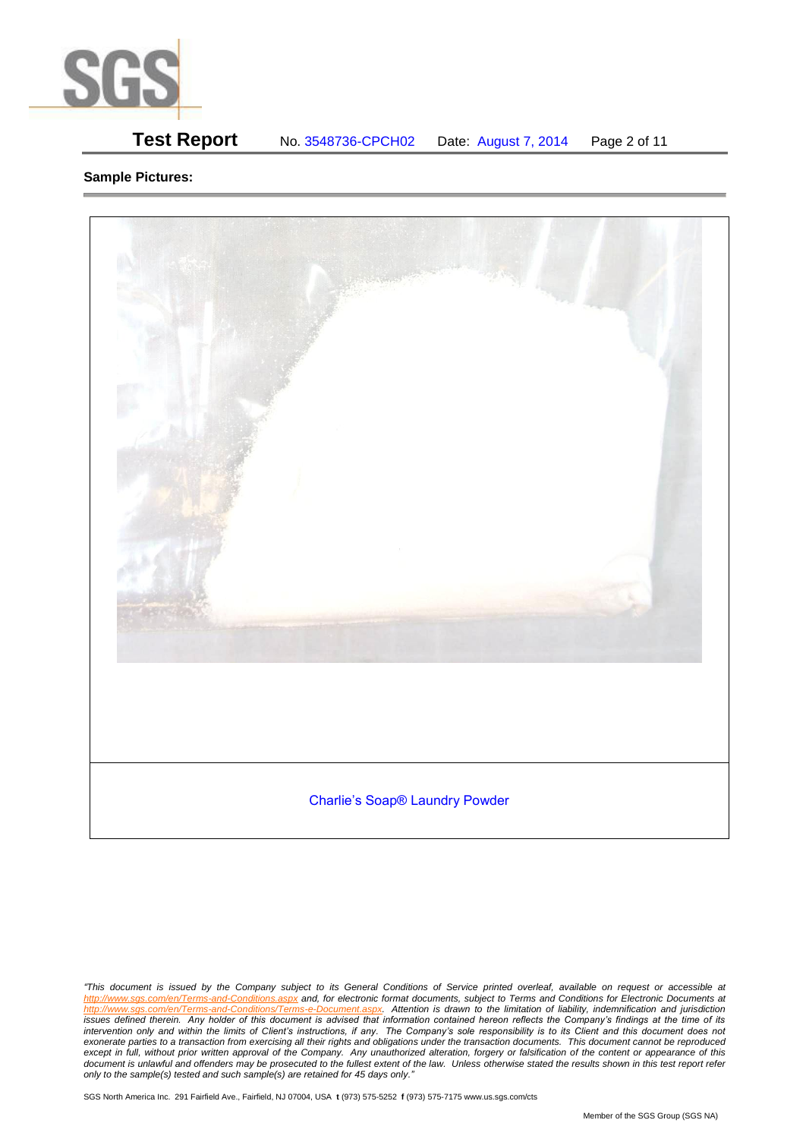

# **Test Report** No. 3548736-CPCH02 Date: August 7, 2014 Page 2 of 11

### **Sample Pictures:**



*<sup>&</sup>quot;This document is issued by the Company subject to its General Conditions of Service printed overleaf, available on request or accessible at http://www.sgs.com/en/Terms-and-Conditions.aspx and, for electronic format documents, subject to Terms and Conditions for Electronic Documents at*  http://www.sgs.com/en/Terms-and-Conditions/Terms-e-Document.aspx. Attention is drawn to the limitation of liability, indemnification and jurisdiction *issues defined therein. Any holder of this document is advised that information contained hereon reflects the Company's findings at the time of its intervention only and within the limits of Client's instructions, if any. The Company's sole responsibility is to its Client and this document does not*  exonerate parties to a transaction from exercising all their rights and obligations under the transaction documents. This document cannot be reproduced except in full, without prior written approval of the Company. Any unauthorized alteration, forgery or falsification of the content or appearance of this document is unlawful and offenders may be prosecuted to the fullest extent of the law. Unless otherwise stated the results shown in this test report refer *only to the sample(s) tested and such sample(s) are retained for 45 days only."*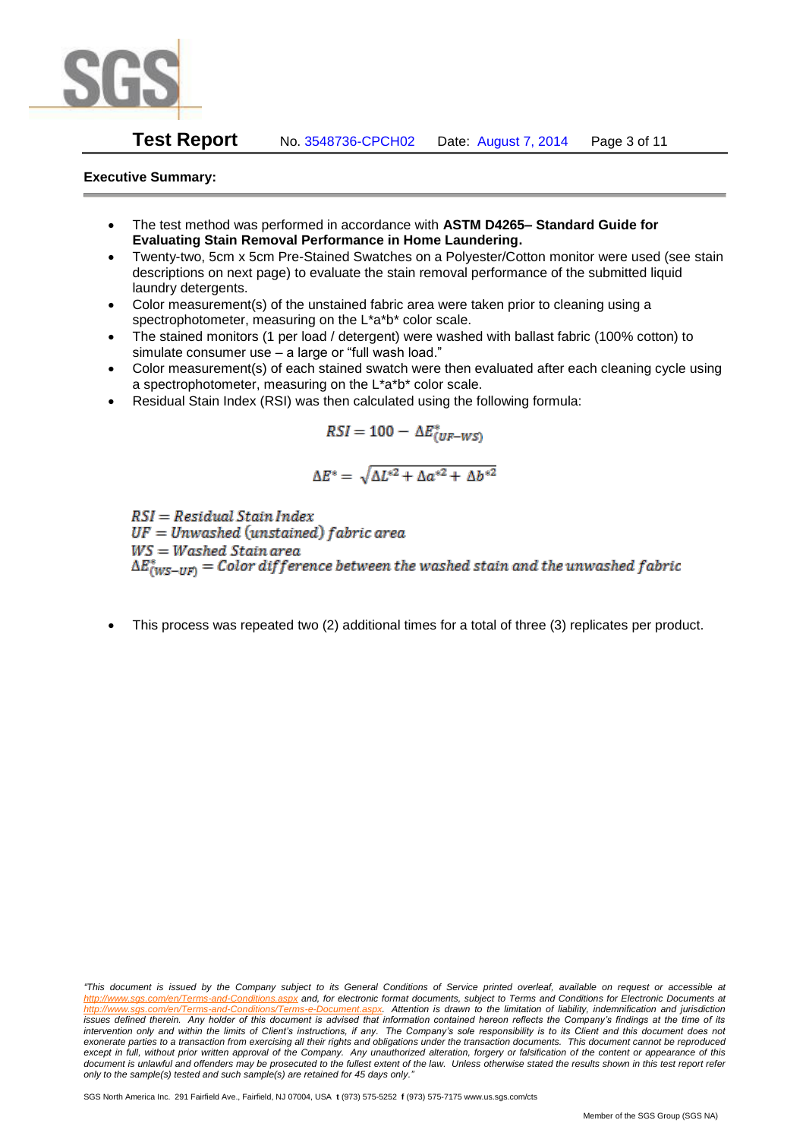

**Test Report** No. 3548736-CPCH02 Date: August 7, 2014 Page 3 of 11

## **Executive Summary:**

- The test method was performed in accordance with **ASTM D4265– Standard Guide for Evaluating Stain Removal Performance in Home Laundering.**
- Twenty-two, 5cm x 5cm Pre-Stained Swatches on a Polyester/Cotton monitor were used (see stain descriptions on next page) to evaluate the stain removal performance of the submitted liquid laundry detergents.
- Color measurement(s) of the unstained fabric area were taken prior to cleaning using a spectrophotometer, measuring on the L\*a\*b\* color scale.
- The stained monitors (1 per load / detergent) were washed with ballast fabric (100% cotton) to simulate consumer use – a large or "full wash load."
- Color measurement(s) of each stained swatch were then evaluated after each cleaning cycle using a spectrophotometer, measuring on the L\*a\*b\* color scale.
- Residual Stain Index (RSI) was then calculated using the following formula:

$$
RSI = 100 - \Delta E^*_{(UF-WS)}
$$

$$
\Delta E^* = \sqrt{\Delta L^{*2} + \Delta a^{*2} + \Delta b^{*2}}
$$

 $RSI = Residual Stain Index$  $UF = Unwashed$  (unstained) fabric area  $WS = Washed$  Stain area  $\Delta E^*_{(WS-HF)} = Color\ difference\ between\ the\ washed\ strain\ and\ the\ unwashed\ fabric$ 

This process was repeated two (2) additional times for a total of three (3) replicates per product.

*<sup>&</sup>quot;This document is issued by the Company subject to its General Conditions of Service printed overleaf, available on request or accessible at http://www.sgs.com/en/Terms-and-Conditions.aspx and, for electronic format documents, subject to Terms and Conditions for Electronic Documents at http://www.sgs.com/en/Terms-and-Conditions/Terms-e-Document.aspx. Attention is drawn to the limitation of liability, indemnification and jurisdiction issues defined therein. Any holder of this document is advised that information contained hereon reflects the Company's findings at the time of its intervention only and within the limits of Client's instructions, if any. The Company's sole responsibility is to its Client and this document does not*  exonerate parties to a transaction from exercising all their rights and obligations under the transaction documents. This document cannot be reproduced except in full, without prior written approval of the Company. Any unauthorized alteration, forgery or falsification of the content or appearance of this document is unlawful and offenders may be prosecuted to the fullest extent of the law. Unless otherwise stated the results shown in this test report refer *only to the sample(s) tested and such sample(s) are retained for 45 days only."*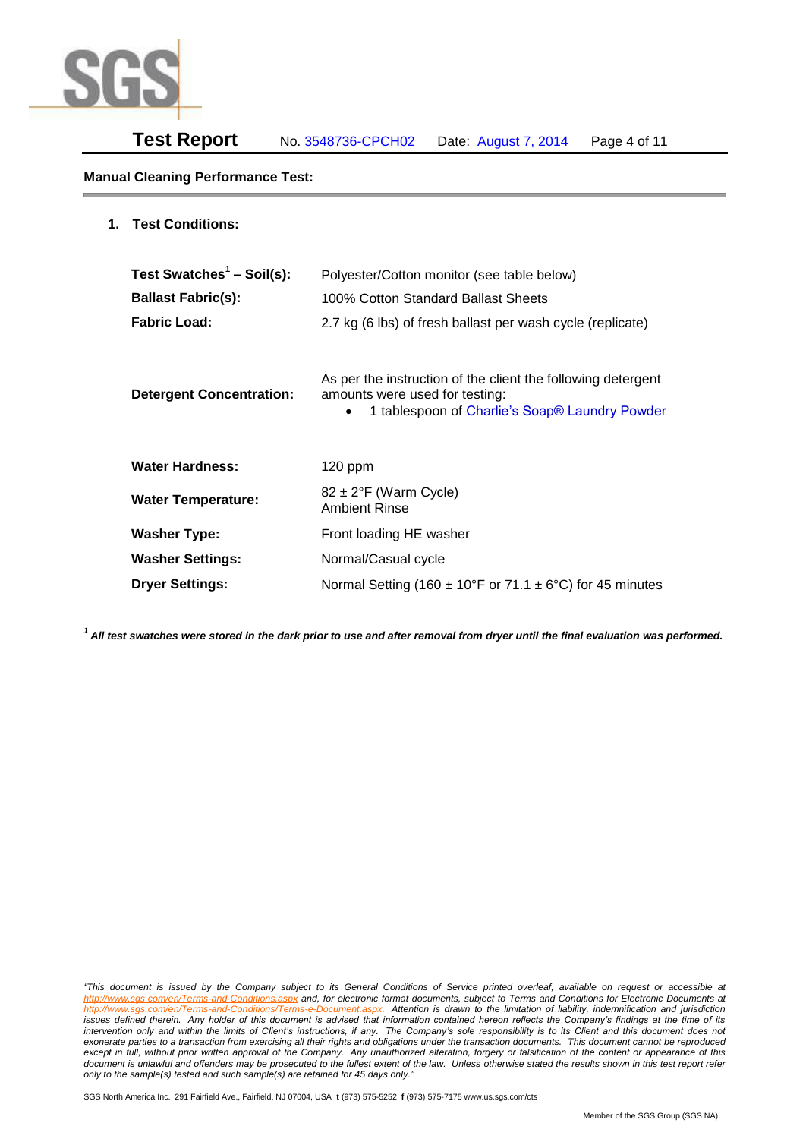

### **Manual Cleaning Performance Test:**

| Test Swatches <sup>1</sup> - Soil(s): | Polyester/Cotton monitor (see table below)                                                                                                       |
|---------------------------------------|--------------------------------------------------------------------------------------------------------------------------------------------------|
| <b>Ballast Fabric(s):</b>             | 100% Cotton Standard Ballast Sheets                                                                                                              |
| <b>Fabric Load:</b>                   | 2.7 kg (6 lbs) of fresh ballast per wash cycle (replicate)                                                                                       |
| <b>Detergent Concentration:</b>       | As per the instruction of the client the following detergent<br>amounts were used for testing:<br>1 tablespoon of Charlie's Soap® Laundry Powder |
| <b>Water Hardness:</b>                | $120$ ppm                                                                                                                                        |
| <b>Water Temperature:</b>             | $82 \pm 2$ °F (Warm Cycle)<br><b>Ambient Rinse</b>                                                                                               |
| <b>Washer Type:</b>                   | Front loading HE washer                                                                                                                          |
| <b>Washer Settings:</b>               | Normal/Casual cycle                                                                                                                              |
| <b>Dryer Settings:</b>                | Normal Setting (160 $\pm$ 10°F or 71.1 $\pm$ 6°C) for 45 minutes                                                                                 |

*<sup>1</sup>All test swatches were stored in the dark prior to use and after removal from dryer until the final evaluation was performed.* 

*"This document is issued by the Company subject to its General Conditions of Service printed overleaf, available on request or accessible at http://www.sgs.com/en/Terms-and-Conditions.aspx and, for electronic format documents, subject to Terms and Conditions for Electronic Documents at*  Attention is drawn to the limitation of liability, indemnification and jurisdiction *issues defined therein. Any holder of this document is advised that information contained hereon reflects the Company's findings at the time of its intervention only and within the limits of Client's instructions, if any. The Company's sole responsibility is to its Client and this document does not*  exonerate parties to a transaction from exercising all their rights and obligations under the transaction documents. This document cannot be reproduced except in full, without prior written approval of the Company. Any unauthorized alteration, forgery or falsification of the content or appearance of this document is unlawful and offenders may be prosecuted to the fullest extent of the law. Unless otherwise stated the results shown in this test report refer *only to the sample(s) tested and such sample(s) are retained for 45 days only."*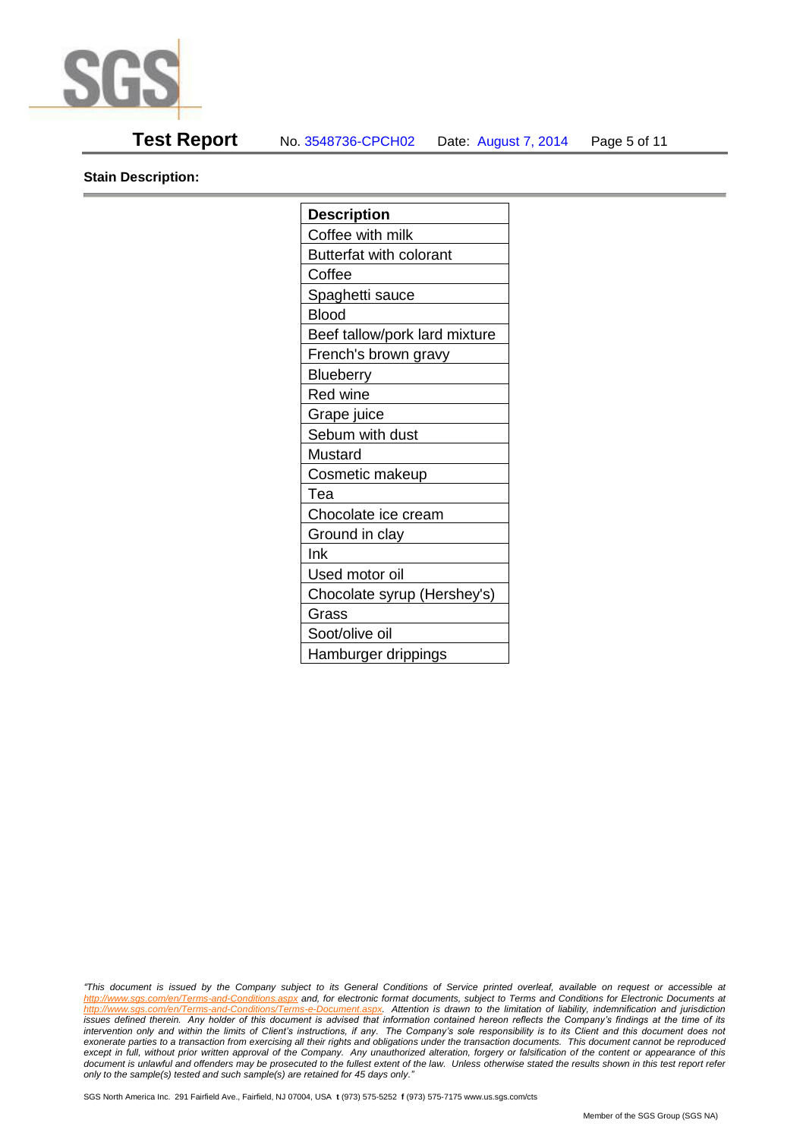

## **Test Report** No. 3548736-CPCH02 Date: August 7, 2014 Page 5 of 11

**Stain Description:** 

| <b>Description</b>             |  |  |  |  |
|--------------------------------|--|--|--|--|
| Coffee with milk               |  |  |  |  |
| <b>Butterfat with colorant</b> |  |  |  |  |
| Coffee                         |  |  |  |  |
| Spaghetti sauce                |  |  |  |  |
| <b>Blood</b>                   |  |  |  |  |
| Beef tallow/pork lard mixture  |  |  |  |  |
| French's brown gravy           |  |  |  |  |
| <b>Blueberry</b>               |  |  |  |  |
| <b>Red wine</b>                |  |  |  |  |
| Grape juice                    |  |  |  |  |
| Sebum with dust                |  |  |  |  |
| Mustard                        |  |  |  |  |
| Cosmetic makeup                |  |  |  |  |
| Tea                            |  |  |  |  |
| Chocolate ice cream            |  |  |  |  |
| Ground in clay                 |  |  |  |  |
| Ink                            |  |  |  |  |
| Used motor oil                 |  |  |  |  |
| Chocolate syrup (Hershey's)    |  |  |  |  |
| Grass                          |  |  |  |  |
| Soot/olive oil                 |  |  |  |  |
| Hamburger drippings            |  |  |  |  |

*"This document is issued by the Company subject to its General Conditions of Service printed overleaf, available on request or accessible at http://www.sgs.com/en/Terms-and-Conditions.aspx and, for electronic format documents, subject to Terms and Conditions for Electronic Documents at*  Attention is drawn to the limitation of liability, indemnification and jurisdiction *issues defined therein. Any holder of this document is advised that information contained hereon reflects the Company's findings at the time of its intervention only and within the limits of Client's instructions, if any. The Company's sole responsibility is to its Client and this document does not*  exonerate parties to a transaction from exercising all their rights and obligations under the transaction documents. This document cannot be reproduced except in full, without prior written approval of the Company. Any unauthorized alteration, forgery or falsification of the content or appearance of this document is unlawful and offenders may be prosecuted to the fullest extent of the law. Unless otherwise stated the results shown in this test report refer *only to the sample(s) tested and such sample(s) are retained for 45 days only."*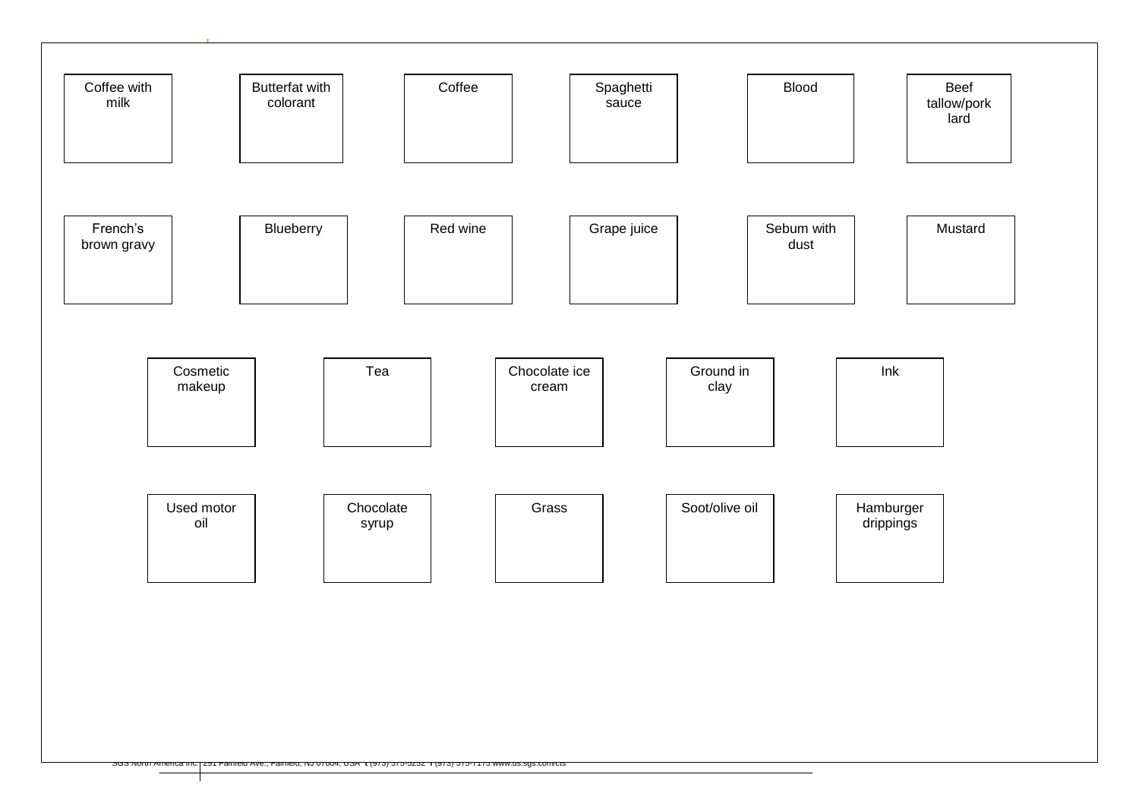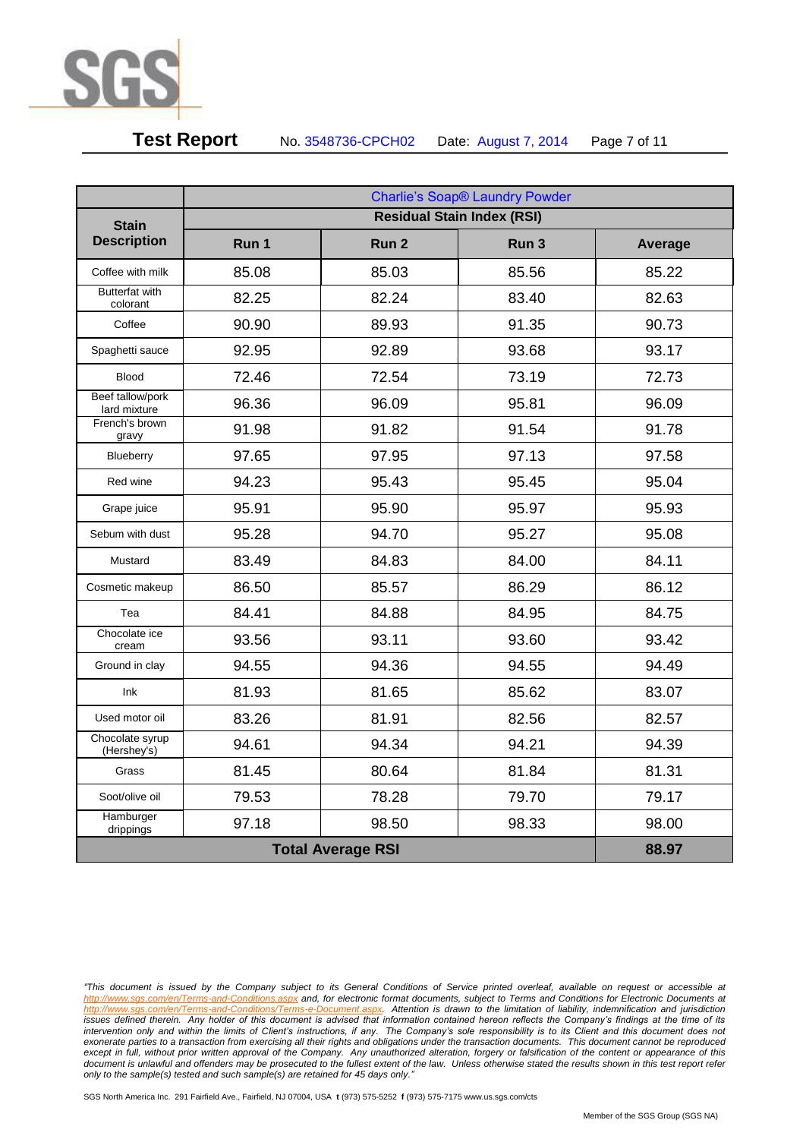

# **Test Report** No. 3548736-CPCH02 Date: August 7, 2014 Page 7 of 11

|                                   | Charlie's Soap® Laundry Powder    |                  |                  |         |  |  |
|-----------------------------------|-----------------------------------|------------------|------------------|---------|--|--|
| <b>Stain</b>                      | <b>Residual Stain Index (RSI)</b> |                  |                  |         |  |  |
| <b>Description</b>                | Run 1                             | Run <sub>2</sub> | Run <sub>3</sub> | Average |  |  |
| Coffee with milk                  | 85.08                             | 85.03            | 85.56            | 85.22   |  |  |
| <b>Butterfat with</b><br>colorant | 82.25                             | 82.24            | 83.40            | 82.63   |  |  |
| Coffee                            | 90.90                             | 89.93            | 91.35            | 90.73   |  |  |
| Spaghetti sauce                   | 92.95                             | 92.89            | 93.68            | 93.17   |  |  |
| <b>Blood</b>                      | 72.46                             | 72.54            | 73.19            | 72.73   |  |  |
| Beef tallow/pork<br>lard mixture  | 96.36                             | 96.09            | 95.81            | 96.09   |  |  |
| French's brown<br>gravy           | 91.98                             | 91.82            | 91.54            | 91.78   |  |  |
| Blueberry                         | 97.65                             | 97.95            | 97.13            | 97.58   |  |  |
| Red wine                          | 94.23                             | 95.43            | 95.45            | 95.04   |  |  |
| Grape juice                       | 95.91                             | 95.90            | 95.97            | 95.93   |  |  |
| Sebum with dust                   | 95.28                             | 94.70            | 95.27            | 95.08   |  |  |
| Mustard                           | 83.49                             | 84.83            | 84.00            | 84.11   |  |  |
| Cosmetic makeup                   | 86.50                             | 85.57            | 86.29            | 86.12   |  |  |
| Tea                               | 84.41                             | 84.88            | 84.95            | 84.75   |  |  |
| Chocolate ice<br>cream            | 93.56                             | 93.11            | 93.60            | 93.42   |  |  |
| Ground in clay                    | 94.55                             | 94.36            | 94.55            | 94.49   |  |  |
| Ink                               | 81.93                             | 81.65            | 85.62            | 83.07   |  |  |
| Used motor oil                    | 83.26                             | 81.91            | 82.56            | 82.57   |  |  |
| Chocolate syrup<br>(Hershey's)    | 94.61                             | 94.34            | 94.21            | 94.39   |  |  |
| Grass                             | 81.45                             | 80.64            | 81.84            | 81.31   |  |  |
| Soot/olive oil                    | 79.53                             | 78.28            | 79.70            | 79.17   |  |  |
| Hamburger<br>drippings            | 97.18                             | 98.50            | 98.33            | 98.00   |  |  |
| <b>Total Average RSI</b>          |                                   |                  |                  | 88.97   |  |  |

*<sup>&</sup>quot;This document is issued by the Company subject to its General Conditions of Service printed overleaf, available on request or accessible at http://www.sgs.com/en/Terms-and-Conditions.aspx and, for electronic format documents, subject to Terms and Conditions for Electronic Documents at*  Attention is drawn to the limitation of liability, indemnification and jurisdiction *issues defined therein. Any holder of this document is advised that information contained hereon reflects the Company's findings at the time of its intervention only and within the limits of Client's instructions, if any. The Company's sole responsibility is to its Client and this document does not*  exonerate parties to a transaction from exercising all their rights and obligations under the transaction documents. This document cannot be reproduced except in full, without prior written approval of the Company. Any unauthorized alteration, forgery or falsification of the content or appearance of this document is unlawful and offenders may be prosecuted to the fullest extent of the law. Unless otherwise stated the results shown in this test report refer *only to the sample(s) tested and such sample(s) are retained for 45 days only."*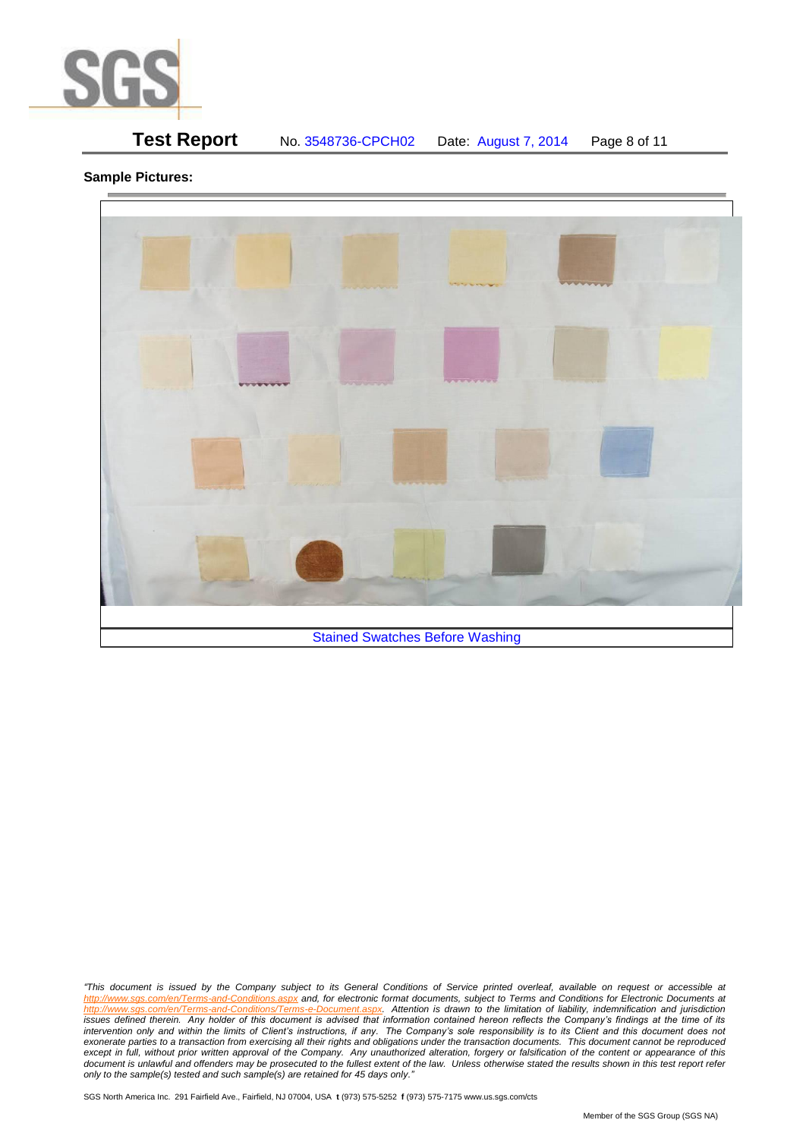

# **Test Report** No. 3548736-CPCH02 Date: August 7, 2014 Page 8 of 11

### **Sample Pictures:**



*"This document is issued by the Company subject to its General Conditions of Service printed overleaf, available on request or accessible at http://www.sgs.com/en/Terms-and-Conditions.aspx and, for electronic format documents, subject to Terms and Conditions for Electronic Documents at*  http://www.sgs.com/en/Terms-and-Conditions/Terms-e-Document.aspx. Attention is drawn to the limitation of liability, indemnification and jurisdiction *issues defined therein. Any holder of this document is advised that information contained hereon reflects the Company's findings at the time of its intervention only and within the limits of Client's instructions, if any. The Company's sole responsibility is to its Client and this document does not*  exonerate parties to a transaction from exercising all their rights and obligations under the transaction documents. This document cannot be reproduced except in full, without prior written approval of the Company. Any unauthorized alteration, forgery or falsification of the content or appearance of this document is unlawful and offenders may be prosecuted to the fullest extent of the law. Unless otherwise stated the results shown in this test report refer *only to the sample(s) tested and such sample(s) are retained for 45 days only."*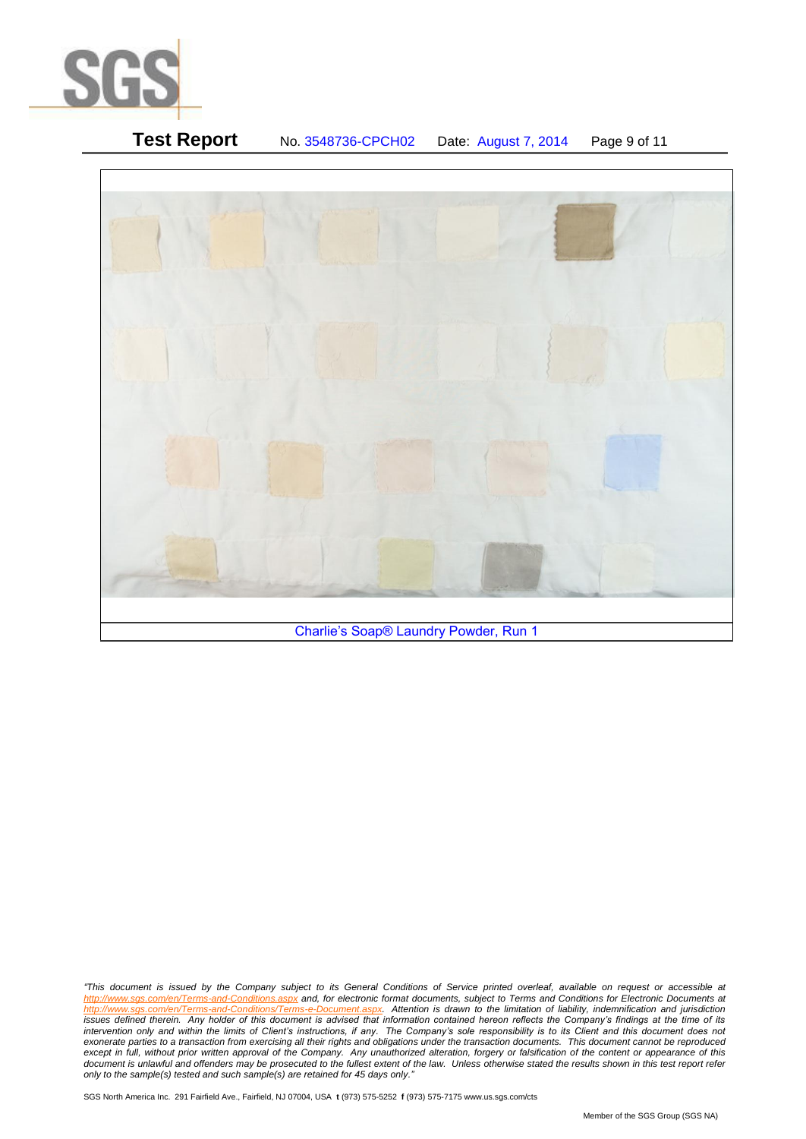

# **Test Report** No. 3548736-CPCH02 Date: August 7, 2014 Page 9 of 11 Charlie's Soap® Laundry Powder, Run 1

*"This document is issued by the Company subject to its General Conditions of Service printed overleaf, available on request or accessible at http://www.sgs.com/en/Terms-and-Conditions.aspx and, for electronic format documents, subject to Terms and Conditions for Electronic Documents at*  Attention is drawn to the limitation of liability, indemnification and jurisdiction *issues defined therein. Any holder of this document is advised that information contained hereon reflects the Company's findings at the time of its intervention only and within the limits of Client's instructions, if any. The Company's sole responsibility is to its Client and this document does not*  exonerate parties to a transaction from exercising all their rights and obligations under the transaction documents. This document cannot be reproduced except in full, without prior written approval of the Company. Any unauthorized alteration, forgery or falsification of the content or appearance of this document is unlawful and offenders may be prosecuted to the fullest extent of the law. Unless otherwise stated the results shown in this test report refer *only to the sample(s) tested and such sample(s) are retained for 45 days only."*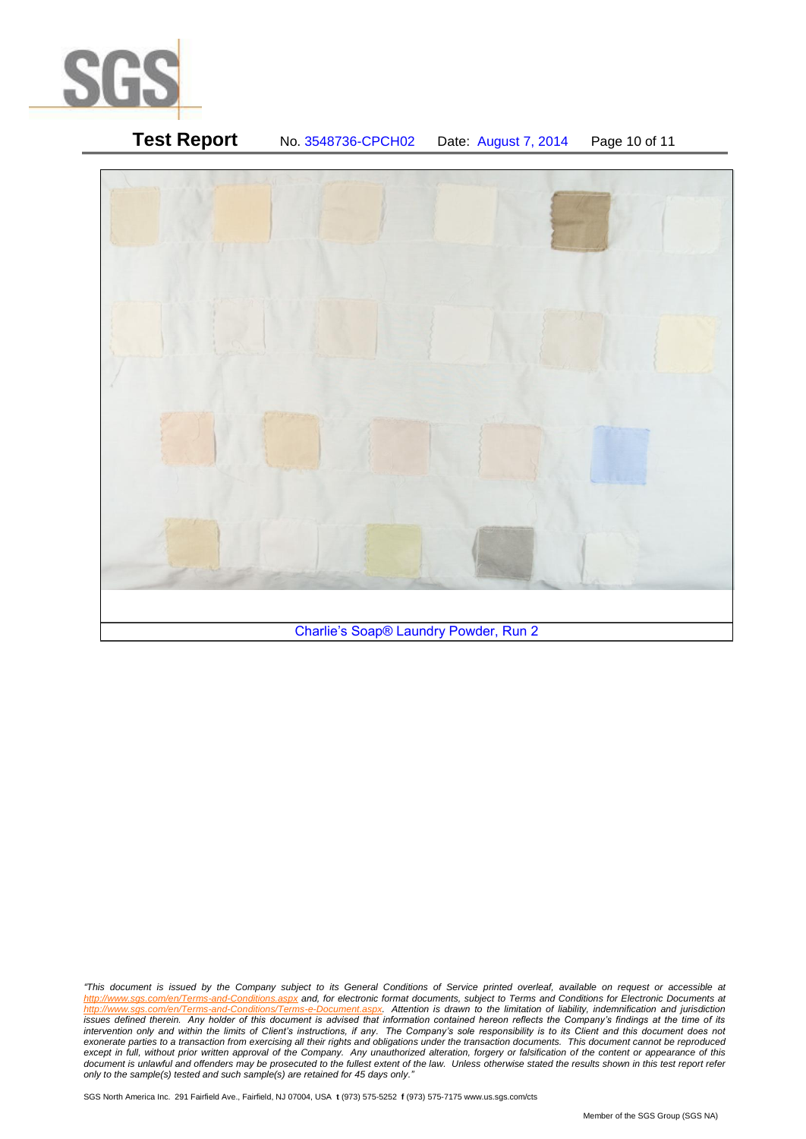

# **Test Report** No. 3548736-CPCH02 Date: August 7, 2014 Page 10 of 11 Charlie's Soap® Laundry Powder, Run 2

*"This document is issued by the Company subject to its General Conditions of Service printed overleaf, available on request or accessible at http://www.sgs.com/en/Terms-and-Conditions.aspx and, for electronic format documents, subject to Terms and Conditions for Electronic Documents at*  http://www.sgs.com/en/Terms-and-Conditions/Terms-e-Document.aspx. Attention is drawn to the limitation of liability, indemnification and jurisdiction *issues defined therein. Any holder of this document is advised that information contained hereon reflects the Company's findings at the time of its intervention only and within the limits of Client's instructions, if any. The Company's sole responsibility is to its Client and this document does not*  exonerate parties to a transaction from exercising all their rights and obligations under the transaction documents. This document cannot be reproduced except in full, without prior written approval of the Company. Any unauthorized alteration, forgery or falsification of the content or appearance of this document is unlawful and offenders may be prosecuted to the fullest extent of the law. Unless otherwise stated the results shown in this test report refer *only to the sample(s) tested and such sample(s) are retained for 45 days only."*